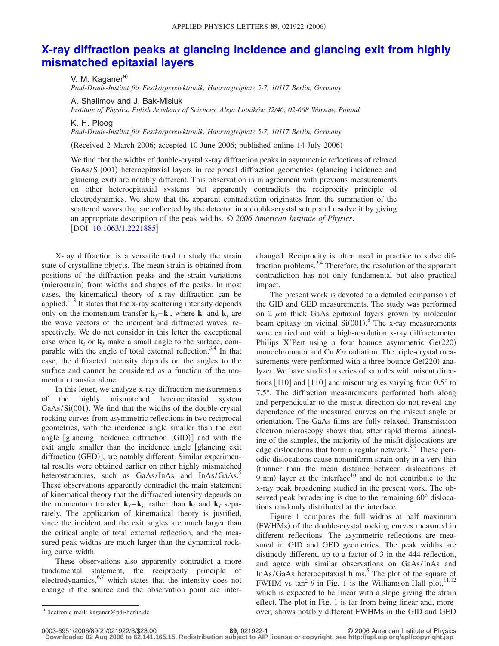## **[X-ray diffraction peaks at glancing incidence and glancing exit from highly](http://dx.doi.org/10.1063/1.2221885) [mismatched epitaxial layers](http://dx.doi.org/10.1063/1.2221885)**

V. M. Kaganer<sup>a)</sup> *Paul-Drude-Institut für Festkörperelektronik, Hausvogteiplatz 5-7, 10117 Berlin, Germany*

A. Shalimov and J. Bak-Misiuk

*Institute of Physics, Polish Academy of Sciences, Aleja Lotników 32/46, 02-668 Warsaw, Poland*

K. H. Ploog

*Paul-Drude-Institut für Festkörperelektronik, Hausvogteiplatz 5-7, 10117 Berlin, Germany*

(Received 2 March 2006; accepted 10 June 2006; published online 14 July 2006)

We find that the widths of double-crystal x-ray diffraction peaks in asymmetric reflections of relaxed GaAs/Si(001) heteroepitaxial layers in reciprocal diffraction geometries (glancing incidence and glancing exit) are notably different. This observation is in agreement with previous measurements on other heteroepitaxial systems but apparently contradicts the reciprocity principle of electrodynamics. We show that the apparent contradiction originates from the summation of the scattered waves that are collected by the detector in a double-crystal setup and resolve it by giving an appropriate description of the peak widths. © *2006 American Institute of Physics*. [DOI: [10.1063/1.2221885](http://dx.doi.org/10.1063/1.2221885)]

X-ray diffraction is a versatile tool to study the strain state of crystalline objects. The mean strain is obtained from positions of the diffraction peaks and the strain variations (microstrain) from widths and shapes of the peaks. In most cases, the kinematical theory of x-ray diffraction can be applied. $1-3$  It states that the x-ray scattering intensity depends only on the momentum transfer  $\mathbf{k}_f - \mathbf{k}_i$ , where  $\mathbf{k}_i$  and  $\mathbf{k}_f$  are the wave vectors of the incident and diffracted waves, respectively. We do not consider in this letter the exceptional case when  $\mathbf{k}_i$  or  $\mathbf{k}_f$  make a small angle to the surface, comparable with the angle of total external reflection.<sup>3,4</sup> In that case, the diffracted intensity depends on the angles to the surface and cannot be considered as a function of the momentum transfer alone.

In this letter, we analyze x-ray diffraction measurements of the highly mismatched heteroepitaxial system GaAs/Si(001). We find that the widths of the double-crystal rocking curves from asymmetric reflections in two reciprocal geometries, with the incidence angle smaller than the exit angle [glancing incidence diffraction (GID)] and with the exit angle smaller than the incidence angle [glancing exit diffraction (GED)], are notably different. Similar experimental results were obtained earlier on other highly mismatched heterostructures, such as GaAs/InAs and InAs/GaAs.<sup>5</sup> These observations apparently contradict the main statement of kinematical theory that the diffracted intensity depends on the momentum transfer  $\mathbf{k}_f - \mathbf{k}_i$ , rather than  $\mathbf{k}_i$  and  $\mathbf{k}_f$  separately. The application of kinematical theory is justified, since the incident and the exit angles are much larger than the critical angle of total external reflection, and the measured peak widths are much larger than the dynamical rocking curve width.

These observations also apparently contradict a more fundamental statement, the reciprocity principle of electrodynamics,  $6,7$  which states that the intensity does not change if the source and the observation point are interchanged. Reciprocity is often used in practice to solve diffraction problems.3,4 Therefore, the resolution of the apparent contradiction has not only fundamental but also practical impact.

The present work is devoted to a detailed comparison of the GID and GED measurements. The study was performed on  $2 \mu m$  thick GaAs epitaxial layers grown by molecular beam epitaxy on vicinal  $Si(001)$ .<sup>8</sup> The x-ray measurements were carried out with a high-resolution x-ray diffractometer Philips X'Pert using a four bounce asymmetric Ge(220) monochromator and Cu  $K\alpha$  radiation. The triple-crystal measurements were performed with a three bounce  $Ge(220)$  analyzer. We have studied a series of samples with miscut directions  $[110]$  and  $[110]$  and miscut angles varying from  $0.5^{\circ}$  to 7.5°. The diffraction measurements performed both along and perpendicular to the miscut direction do not reveal any dependence of the measured curves on the miscut angle or orientation. The GaAs films are fully relaxed. Transmission electron microscopy shows that, after rapid thermal annealing of the samples, the majority of the misfit dislocations are edge dislocations that form a regular network. $8,9$  These periodic dislocations cause nonuniform strain only in a very thin thinner than the mean distance between dislocations of  $9$  nm) layer at the interface<sup>10</sup> and do not contribute to the x-ray peak broadening studied in the present work. The observed peak broadening is due to the remaining 60° dislocations randomly distributed at the interface.

Figure 1 compares the full widths at half maximum (FWHMs) of the double-crystal rocking curves measured in different reflections. The asymmetric reflections are measured in GID and GED geometries. The peak widths are distinctly different, up to a factor of 3 in the 444 reflection, and agree with similar observations on GaAs/InAs and InAs/GaAs heteroepitaxial films.<sup>5</sup> The plot of the square of FWHM vs tan<sup>2</sup>  $\theta$  in Fig. 1 is the Williamson-Hall plot,<sup>11,12</sup> which is expected to be linear with a slope giving the strain effect. The plot in Fig. 1 is far from being linear and, moreover, shows notably different FWHMs in the GID and GED

2/021922/3/\$23.00 © 2006 American Institute of Physics **89**, 021922-1 **Downloaded 02 Aug 2006 to 62.141.165.15. Redistribution subject to AIP license or copyright, see http://apl.aip.org/apl/copyright.jsp**

Electronic mail: kaganer@pdi-berlin.de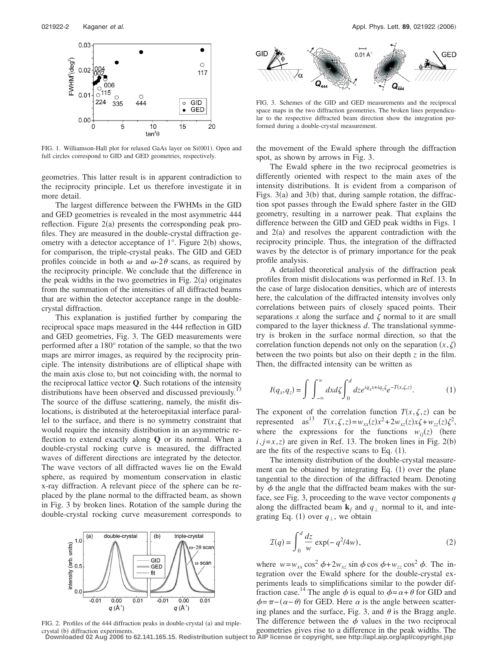

FIG. 1. Williamson-Hall plot for relaxed GaAs layer on Si(001). Open and full circles correspond to GID and GED geometries, respectively.

geometries. This latter result is in apparent contradiction to the reciprocity principle. Let us therefore investigate it in more detail.

The largest difference between the FWHMs in the GID and GED geometries is revealed in the most asymmetric 444 reflection. Figure  $2(a)$  presents the corresponding peak profiles. They are measured in the double-crystal diffraction geometry with a detector acceptance of  $1^\circ$ . Figure 2(b) shows, for comparison, the triple-crystal peaks. The GID and GED profiles coincide in both  $\omega$  and  $\omega$ -2 $\theta$  scans, as required by the reciprocity principle. We conclude that the difference in the peak widths in the two geometries in Fig.  $2(a)$  originates from the summation of the intensities of all diffracted beams that are within the detector acceptance range in the doublecrystal diffraction.

This explanation is justified further by comparing the reciprocal space maps measured in the 444 reflection in GID and GED geometries, Fig. 3. The GED measurements were performed after a 180° rotation of the sample, so that the two maps are mirror images, as required by the reciprocity principle. The intensity distributions are of elliptical shape with the main axis close to, but not coinciding with, the normal to the reciprocal lattice vector **Q**. Such rotations of the intensity distributions have been observed and discussed previously.<sup>1</sup> The source of the diffuse scattering, namely, the misfit dislocations, is distributed at the heteroepitaxial interface parallel to the surface, and there is no symmetry constraint that would require the intensity distribution in an asymmetric reflection to extend exactly along **Q** or its normal. When a double-crystal rocking curve is measured, the diffracted waves of different directions are integrated by the detector. The wave vectors of all diffracted waves lie on the Ewald sphere, as required by momentum conservation in elastic x-ray diffraction. A relevant piece of the sphere can be replaced by the plane normal to the diffracted beam, as shown in Fig. 3 by broken lines. Rotation of the sample during the double-crystal rocking curve measurement corresponds to



FIG. 2. Profiles of the 444 diffraction peaks in double-crystal (a) and triplecrystal (b) diffraction experiments.



FIG. 3. Schemes of the GID and GED measurements and the reciprocal space maps in the two diffraction geometries. The broken lines perpendicular to the respective diffracted beam direction show the integration performed during a double-crystal measurement.

the movement of the Ewald sphere through the diffraction spot, as shown by arrows in Fig. 3.

The Ewald sphere in the two reciprocal geometries is differently oriented with respect to the main axes of the intensity distributions. It is evident from a comparison of Figs. 3(a) and 3(b) that, during sample rotation, the diffraction spot passes through the Ewald sphere faster in the GID geometry, resulting in a narrower peak. That explains the difference between the GID and GED peak widths in Figs. 1 and  $2(a)$  and resolves the apparent contradiction with the reciprocity principle. Thus, the integration of the diffracted waves by the detector is of primary importance for the peak profile analysis.

A detailed theoretical analysis of the diffraction peak profiles from misfit dislocations was performed in Ref. 13. In the case of large dislocation densities, which are of interests here, the calculation of the diffracted intensity involves only correlations between pairs of closely spaced points. Their separations  $x$  along the surface and  $\zeta$  normal to it are small compared to the layer thickness *d*. The translational symmetry is broken in the surface normal direction, so that the correlation function depends not only on the separation  $(x, \zeta)$ between the two points but also on their depth *z* in the film. Then, the diffracted intensity can be written as

$$
I(q_x, q_z) = \int \int_{-\infty}^{\infty} dx d\zeta \int_0^d dz e^{iq_x x + iq_z \zeta} e^{-T(x, \zeta, z)}.
$$
 (1)

The exponent of the correlation function  $T(x, \zeta, z)$  can be represented as<sup>13</sup>  $T(x, \zeta, z) = w_{xx}(z)x^2 + 2w_{xz}(z)x\zeta + w_{zz}(z)\zeta^2$ , where the expressions for the functions  $w_{ij}(z)$  (here  $i, j=x, z$ ) are given in Ref. 13. The broken lines in Fig. 2(b) are the fits of the respective scans to Eq.  $(1)$ .

The intensity distribution of the double-crystal measurement can be obtained by integrating Eq. (1) over the plane tangential to the direction of the diffracted beam. Denoting by  $\phi$  the angle that the diffracted beam makes with the surface, see Fig. 3, proceeding to the wave vector components *q* along the diffracted beam  $\mathbf{k}_f$  and  $q_{\perp}$  normal to it, and integrating Eq. (1) over  $q_{\perp}$ , we obtain

$$
\mathcal{I}(q) = \int_0^d \frac{dz}{w} \exp(-q^2/4w),\tag{2}
$$

where  $w = w_{xx} \cos^2 \phi + 2w_{xz} \sin \phi \cos \phi + w_{zz} \cos^2 \phi$ . The integration over the Ewald sphere for the double-crystal experiments leads to simplifications similar to the powder diffraction case.<sup>14</sup> The angle  $\phi$  is equal to  $\phi = \alpha + \theta$  for GID and  $\phi = \pi - (\alpha - \theta)$  for GED. Here  $\alpha$  is the angle between scattering planes and the surface, Fig. 3, and  $\theta$  is the Bragg angle. The difference between the  $\phi$  values in the two reciprocal

geometries gives rise to a difference in the peak widths. The **Downloaded 02 Aug 2006 to 62.141.165.15. Redistribution subject to AIP license or copyright, see http://apl.aip.org/apl/copyright.jsp**